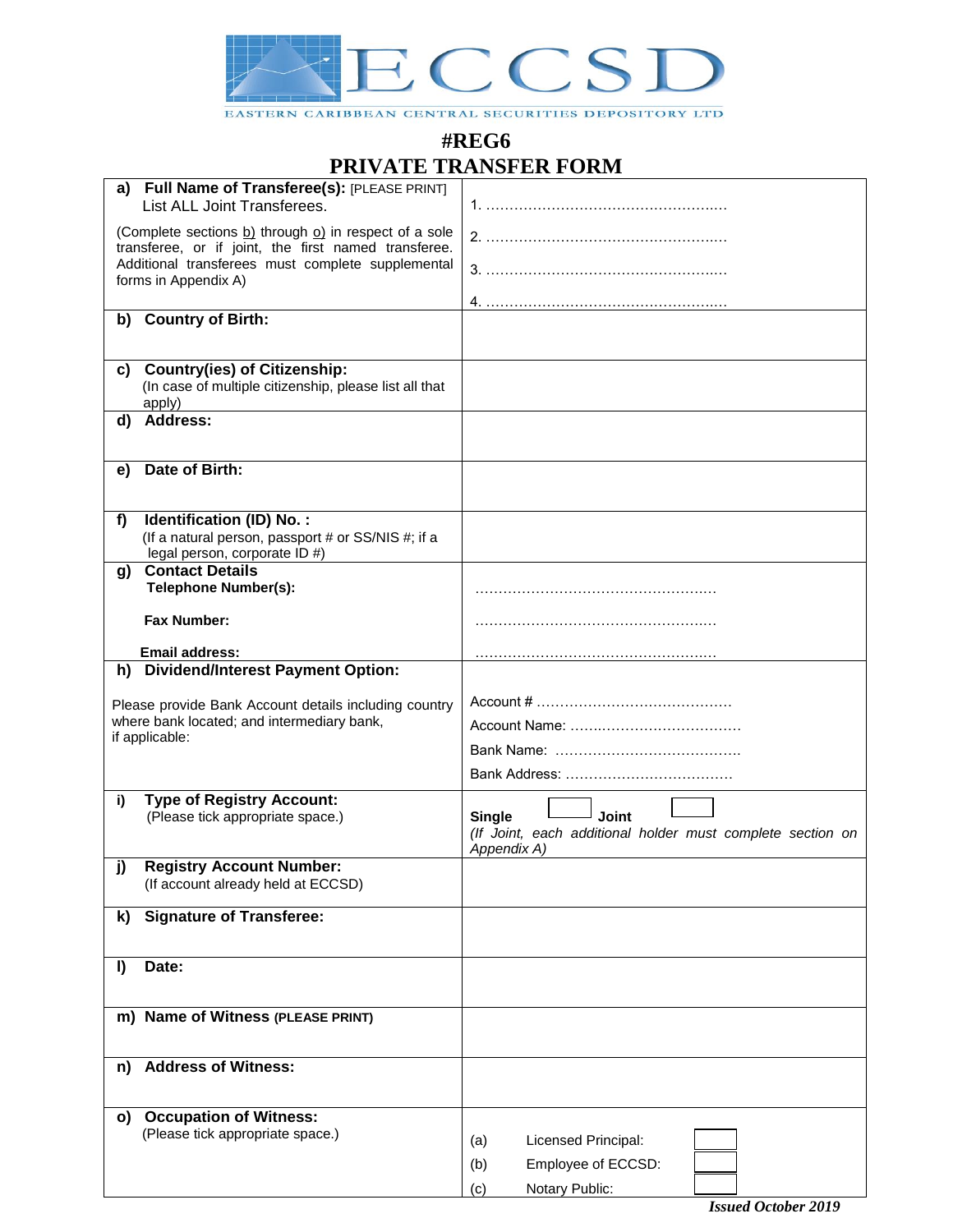

EASTERN CARIBBEAN CENTRAL SECURITIES DEPOSITORY LTD

## **#REG6 PRIVATE TRANSFER FORM**

| a)                                                                                                            | Full Name of Transferee(s): [PLEASE PRINT]                                                          |                                                            |
|---------------------------------------------------------------------------------------------------------------|-----------------------------------------------------------------------------------------------------|------------------------------------------------------------|
|                                                                                                               | List ALL Joint Transferees.                                                                         |                                                            |
| (Complete sections b) through o) in respect of a sole<br>transferee, or if joint, the first named transferee. |                                                                                                     |                                                            |
| Additional transferees must complete supplemental<br>forms in Appendix A)                                     |                                                                                                     |                                                            |
|                                                                                                               |                                                                                                     |                                                            |
| b)                                                                                                            | <b>Country of Birth:</b>                                                                            |                                                            |
|                                                                                                               |                                                                                                     |                                                            |
| C)                                                                                                            | <b>Country(ies) of Citizenship:</b>                                                                 |                                                            |
|                                                                                                               | (In case of multiple citizenship, please list all that<br>apply)                                    |                                                            |
| d)                                                                                                            | <b>Address:</b>                                                                                     |                                                            |
|                                                                                                               |                                                                                                     |                                                            |
| e)                                                                                                            | Date of Birth:                                                                                      |                                                            |
|                                                                                                               |                                                                                                     |                                                            |
| f)                                                                                                            | Identification (ID) No.:                                                                            |                                                            |
|                                                                                                               | (If a natural person, passport # or SS/NIS #; if a<br>legal person, corporate ID #)                 |                                                            |
| g)                                                                                                            | <b>Contact Details</b>                                                                              |                                                            |
|                                                                                                               | <b>Telephone Number(s):</b>                                                                         |                                                            |
|                                                                                                               | <b>Fax Number:</b>                                                                                  |                                                            |
|                                                                                                               | Email address:                                                                                      |                                                            |
|                                                                                                               | h) Dividend/Interest Payment Option:                                                                |                                                            |
|                                                                                                               |                                                                                                     |                                                            |
|                                                                                                               | Please provide Bank Account details including country<br>where bank located; and intermediary bank, |                                                            |
|                                                                                                               | if applicable:                                                                                      |                                                            |
|                                                                                                               |                                                                                                     |                                                            |
|                                                                                                               |                                                                                                     |                                                            |
| i)                                                                                                            | <b>Type of Registry Account:</b>                                                                    |                                                            |
|                                                                                                               | (Please tick appropriate space.)                                                                    | Joint<br><b>Single</b>                                     |
|                                                                                                               |                                                                                                     | (If Joint, each additional holder must complete section on |
|                                                                                                               |                                                                                                     | Appendix A)                                                |
| j)                                                                                                            | <b>Registry Account Number:</b>                                                                     |                                                            |
|                                                                                                               | (If account already held at ECCSD)                                                                  |                                                            |
| k)                                                                                                            | <b>Signature of Transferee:</b>                                                                     |                                                            |
|                                                                                                               |                                                                                                     |                                                            |
| I)                                                                                                            | Date:                                                                                               |                                                            |
|                                                                                                               |                                                                                                     |                                                            |
|                                                                                                               |                                                                                                     |                                                            |
|                                                                                                               | m) Name of Witness (PLEASE PRINT)                                                                   |                                                            |
|                                                                                                               |                                                                                                     |                                                            |
| n)                                                                                                            | <b>Address of Witness:</b>                                                                          |                                                            |
|                                                                                                               |                                                                                                     |                                                            |
| O)                                                                                                            | <b>Occupation of Witness:</b>                                                                       |                                                            |
|                                                                                                               | (Please tick appropriate space.)                                                                    | Licensed Principal:                                        |
|                                                                                                               |                                                                                                     | (a)                                                        |
|                                                                                                               |                                                                                                     | Employee of ECCSD:<br>(b)                                  |
|                                                                                                               |                                                                                                     | Notary Public:<br>(c)                                      |

*Issued October 2019*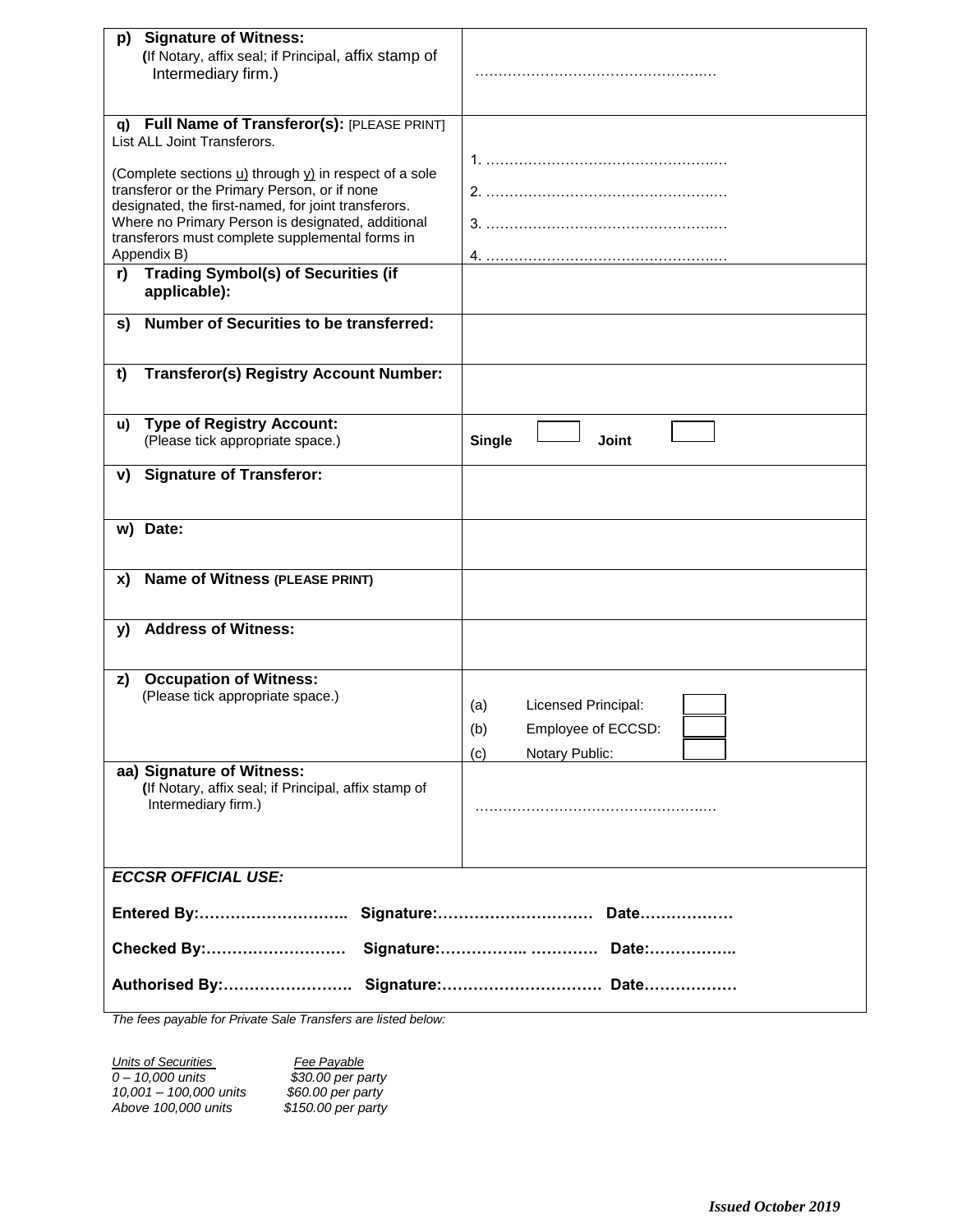| <b>Signature of Witness:</b><br>p)                                                                  |                               |  |  |  |
|-----------------------------------------------------------------------------------------------------|-------------------------------|--|--|--|
| (If Notary, affix seal; if Principal, affix stamp of                                                |                               |  |  |  |
| Intermediary firm.)                                                                                 |                               |  |  |  |
|                                                                                                     |                               |  |  |  |
| Full Name of Transferor(s): [PLEASE PRINT]<br>q)                                                    |                               |  |  |  |
| List ALL Joint Transferors.                                                                         |                               |  |  |  |
|                                                                                                     |                               |  |  |  |
| (Complete sections $\underline{u}$ ) through $\underline{v}$ ) in respect of a sole                 |                               |  |  |  |
| transferor or the Primary Person, or if none<br>designated, the first-named, for joint transferors. |                               |  |  |  |
| Where no Primary Person is designated, additional                                                   |                               |  |  |  |
| transferors must complete supplemental forms in                                                     |                               |  |  |  |
| Appendix B)                                                                                         |                               |  |  |  |
| <b>Trading Symbol(s) of Securities (if</b><br>r)                                                    |                               |  |  |  |
| applicable):                                                                                        |                               |  |  |  |
| <b>Number of Securities to be transferred:</b><br>s)                                                |                               |  |  |  |
|                                                                                                     |                               |  |  |  |
|                                                                                                     |                               |  |  |  |
| <b>Transferor(s) Registry Account Number:</b><br>t)                                                 |                               |  |  |  |
|                                                                                                     |                               |  |  |  |
| <b>Type of Registry Account:</b><br>u)                                                              |                               |  |  |  |
| (Please tick appropriate space.)                                                                    | <b>Joint</b><br><b>Single</b> |  |  |  |
| <b>Signature of Transferor:</b>                                                                     |                               |  |  |  |
| V)                                                                                                  |                               |  |  |  |
|                                                                                                     |                               |  |  |  |
| Date:<br>w)                                                                                         |                               |  |  |  |
|                                                                                                     |                               |  |  |  |
| <b>Name of Witness (PLEASE PRINT)</b><br>X)                                                         |                               |  |  |  |
|                                                                                                     |                               |  |  |  |
|                                                                                                     |                               |  |  |  |
| <b>Address of Witness:</b><br>y)                                                                    |                               |  |  |  |
|                                                                                                     |                               |  |  |  |
| <b>Occupation of Witness:</b><br>z)                                                                 |                               |  |  |  |
| (Please tick appropriate space.)                                                                    | Licensed Principal:<br>(a)    |  |  |  |
|                                                                                                     |                               |  |  |  |
|                                                                                                     | (b)<br>Employee of ECCSD:     |  |  |  |
|                                                                                                     | Notary Public:<br>(c)         |  |  |  |
| aa) Signature of Witness:<br>(If Notary, affix seal; if Principal, affix stamp of                   |                               |  |  |  |
| Intermediary firm.)                                                                                 |                               |  |  |  |
|                                                                                                     |                               |  |  |  |
|                                                                                                     |                               |  |  |  |
|                                                                                                     |                               |  |  |  |
| <b>ECCSR OFFICIAL USE:</b>                                                                          |                               |  |  |  |
|                                                                                                     |                               |  |  |  |
|                                                                                                     |                               |  |  |  |
| Checked By:                                                                                         |                               |  |  |  |
|                                                                                                     |                               |  |  |  |
|                                                                                                     |                               |  |  |  |

*The fees payable for Private Sale Transfers are listed below:*

*Units of Securities Fee Payable 0 – 10,000 units \$30.00 per party 10,001 – 100,000 units \$60.00 per party Above 100,000 units \$150.00 per party*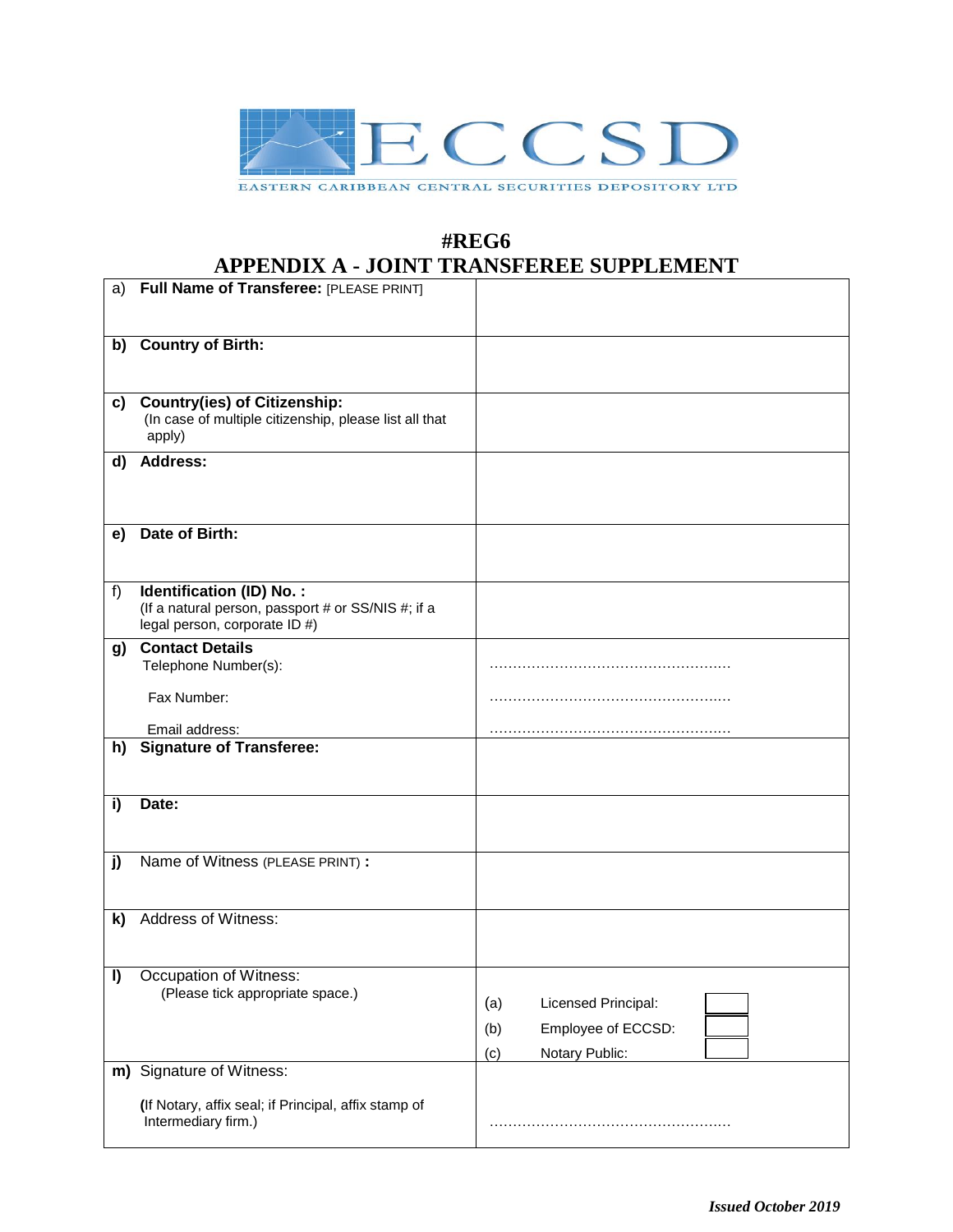

## **#REG6 APPENDIX A - JOINT TRANSFEREE SUPPLEMENT**

|    |                                                                                                                 | <u>Soult their of Brund bett belief</u>                                          |
|----|-----------------------------------------------------------------------------------------------------------------|----------------------------------------------------------------------------------|
| a) | Full Name of Transferee: [PLEASE PRINT]                                                                         |                                                                                  |
| b) | <b>Country of Birth:</b>                                                                                        |                                                                                  |
| C) | <b>Country(ies) of Citizenship:</b><br>(In case of multiple citizenship, please list all that<br>apply)         |                                                                                  |
| d) | <b>Address:</b>                                                                                                 |                                                                                  |
| e) | Date of Birth:                                                                                                  |                                                                                  |
| f) | Identification (ID) No.:<br>(If a natural person, passport # or SS/NIS #; if a<br>legal person, corporate ID #) |                                                                                  |
| g) | <b>Contact Details</b><br>Telephone Number(s):                                                                  |                                                                                  |
|    | Fax Number:                                                                                                     |                                                                                  |
|    | Email address:                                                                                                  |                                                                                  |
| h) | <b>Signature of Transferee:</b>                                                                                 |                                                                                  |
| i) | Date:                                                                                                           |                                                                                  |
| j) | Name of Witness (PLEASE PRINT) :                                                                                |                                                                                  |
| k) | Address of Witness:                                                                                             |                                                                                  |
| I) | Occupation of Witness:<br>(Please tick appropriate space.)                                                      | Licensed Principal:<br>(a)<br>Employee of ECCSD:<br>(b)<br>Notary Public:<br>(c) |
|    | m) Signature of Witness:                                                                                        |                                                                                  |
|    | (If Notary, affix seal; if Principal, affix stamp of<br>Intermediary firm.)                                     |                                                                                  |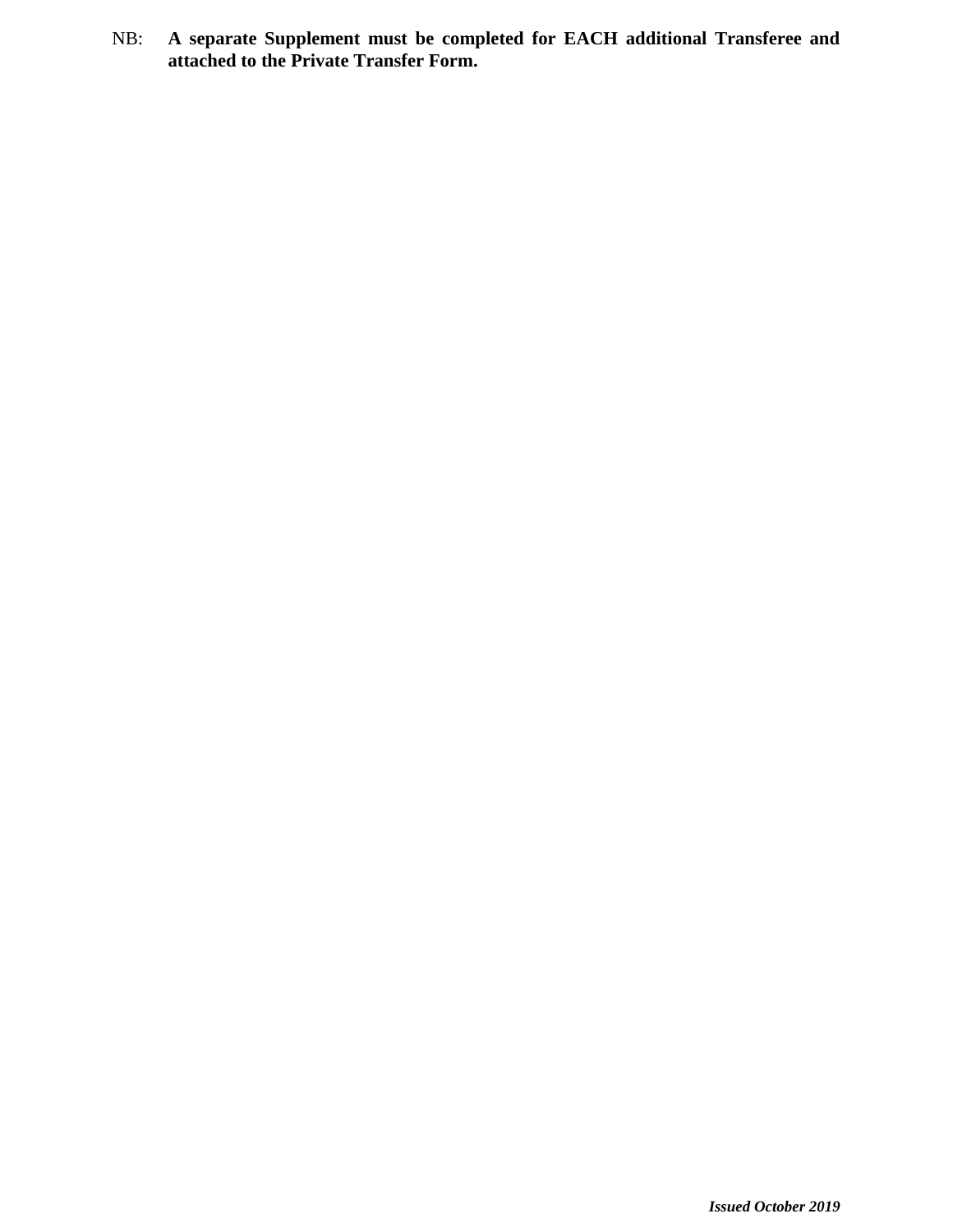NB: **A separate Supplement must be completed for EACH additional Transferee and attached to the Private Transfer Form.**